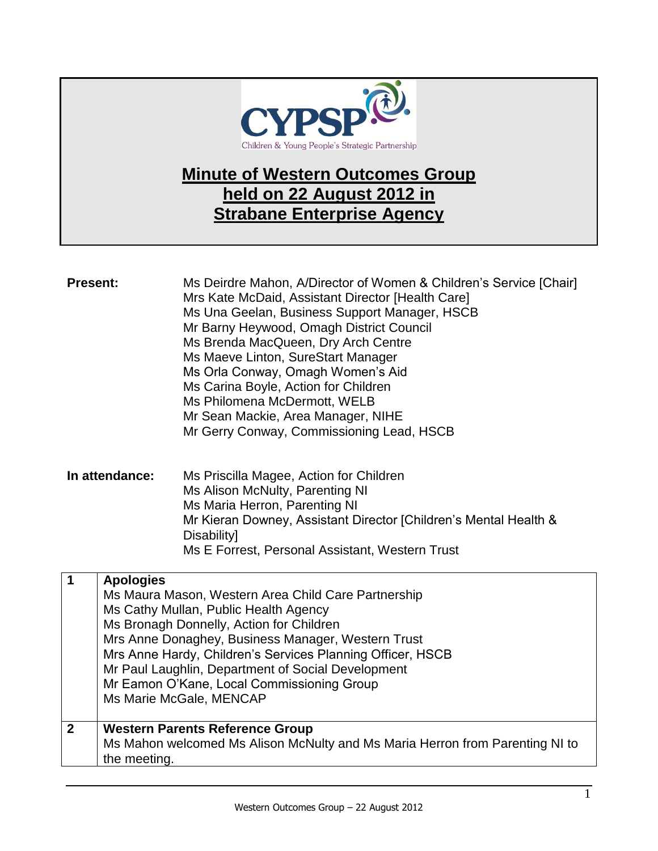

## **Minute of Western Outcomes Group held on 22 August 2012 in Strabane Enterprise Agency**

| Mrs Kate McDaid, Assistant Director [Health Care]<br>Ms Una Geelan, Business Support Manager, HSCB<br>Mr Barny Heywood, Omagh District Council | Ms Deirdre Mahon, A/Director of Women & Children's Service [Chair] |
|------------------------------------------------------------------------------------------------------------------------------------------------|--------------------------------------------------------------------|
|                                                                                                                                                |                                                                    |
|                                                                                                                                                |                                                                    |
|                                                                                                                                                |                                                                    |
| Ms Brenda MacQueen, Dry Arch Centre                                                                                                            |                                                                    |
| Ms Maeve Linton, SureStart Manager                                                                                                             |                                                                    |
| Ms Orla Conway, Omagh Women's Aid                                                                                                              |                                                                    |
| Ms Carina Boyle, Action for Children                                                                                                           |                                                                    |
| Ms Philomena McDermott, WELB                                                                                                                   |                                                                    |
| Mr Sean Mackie, Area Manager, NIHE                                                                                                             |                                                                    |
| Mr Gerry Conway, Commissioning Lead, HSCB                                                                                                      |                                                                    |

**In attendance:** Ms Priscilla Magee, Action for Children Ms Alison McNulty, Parenting NI Ms Maria Herron, Parenting NI Mr Kieran Downey, Assistant Director [Children's Mental Health & Disability] Ms E Forrest, Personal Assistant, Western Trust

| 1            | <b>Apologies</b>                                                             |
|--------------|------------------------------------------------------------------------------|
|              | Ms Maura Mason, Western Area Child Care Partnership                          |
|              | Ms Cathy Mullan, Public Health Agency                                        |
|              | Ms Bronagh Donnelly, Action for Children                                     |
|              | Mrs Anne Donaghey, Business Manager, Western Trust                           |
|              | Mrs Anne Hardy, Children's Services Planning Officer, HSCB                   |
|              | Mr Paul Laughlin, Department of Social Development                           |
|              | Mr Eamon O'Kane, Local Commissioning Group                                   |
|              | Ms Marie McGale, MENCAP                                                      |
|              |                                                                              |
| $\mathbf{2}$ | <b>Western Parents Reference Group</b>                                       |
|              | Ms Mahon welcomed Ms Alison McNulty and Ms Maria Herron from Parenting NI to |
|              | the meeting.                                                                 |
|              |                                                                              |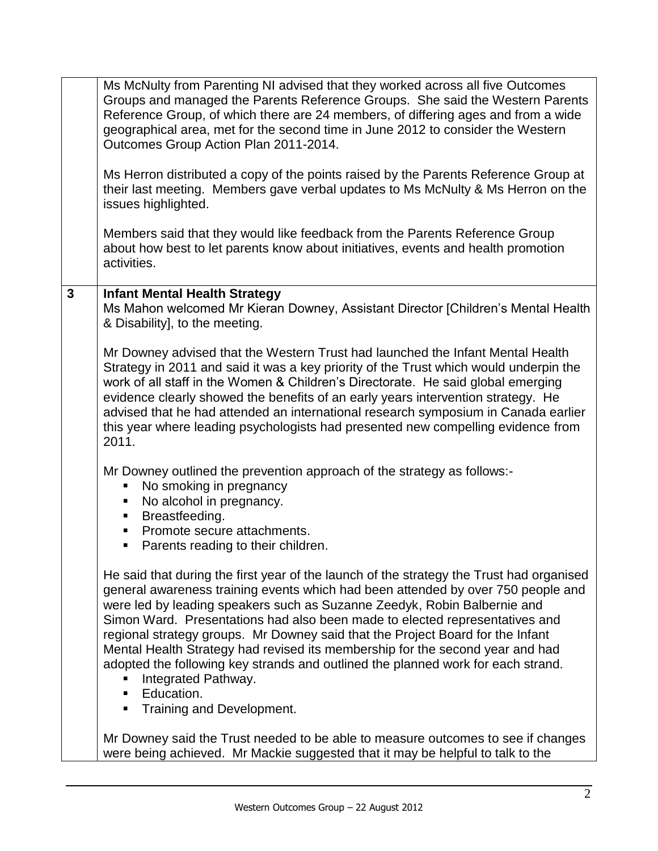|              | Ms McNulty from Parenting NI advised that they worked across all five Outcomes<br>Groups and managed the Parents Reference Groups. She said the Western Parents<br>Reference Group, of which there are 24 members, of differing ages and from a wide<br>geographical area, met for the second time in June 2012 to consider the Western<br>Outcomes Group Action Plan 2011-2014.<br>Ms Herron distributed a copy of the points raised by the Parents Reference Group at<br>their last meeting. Members gave verbal updates to Ms McNulty & Ms Herron on the<br>issues highlighted.<br>Members said that they would like feedback from the Parents Reference Group<br>about how best to let parents know about initiatives, events and health promotion<br>activities. |
|--------------|-----------------------------------------------------------------------------------------------------------------------------------------------------------------------------------------------------------------------------------------------------------------------------------------------------------------------------------------------------------------------------------------------------------------------------------------------------------------------------------------------------------------------------------------------------------------------------------------------------------------------------------------------------------------------------------------------------------------------------------------------------------------------|
| $\mathbf{3}$ | <b>Infant Mental Health Strategy</b><br>Ms Mahon welcomed Mr Kieran Downey, Assistant Director [Children's Mental Health<br>& Disability], to the meeting.                                                                                                                                                                                                                                                                                                                                                                                                                                                                                                                                                                                                            |
|              | Mr Downey advised that the Western Trust had launched the Infant Mental Health<br>Strategy in 2011 and said it was a key priority of the Trust which would underpin the<br>work of all staff in the Women & Children's Directorate. He said global emerging<br>evidence clearly showed the benefits of an early years intervention strategy. He<br>advised that he had attended an international research symposium in Canada earlier<br>this year where leading psychologists had presented new compelling evidence from<br>2011.                                                                                                                                                                                                                                    |
|              | Mr Downey outlined the prevention approach of the strategy as follows:-<br>No smoking in pregnancy<br>п<br>No alcohol in pregnancy.<br>п<br>Breastfeeding.<br>$\blacksquare$<br>Promote secure attachments.<br>٠<br>Parents reading to their children.<br>п                                                                                                                                                                                                                                                                                                                                                                                                                                                                                                           |
|              | He said that during the first year of the launch of the strategy the Trust had organised<br>general awareness training events which had been attended by over 750 people and<br>were led by leading speakers such as Suzanne Zeedyk, Robin Balbernie and<br>Simon Ward. Presentations had also been made to elected representatives and<br>regional strategy groups. Mr Downey said that the Project Board for the Infant<br>Mental Health Strategy had revised its membership for the second year and had<br>adopted the following key strands and outlined the planned work for each strand.<br>Integrated Pathway.<br>Education.                                                                                                                                   |
|              | • Training and Development.<br>Mr Downey said the Trust needed to be able to measure outcomes to see if changes<br>were being achieved. Mr Mackie suggested that it may be helpful to talk to the                                                                                                                                                                                                                                                                                                                                                                                                                                                                                                                                                                     |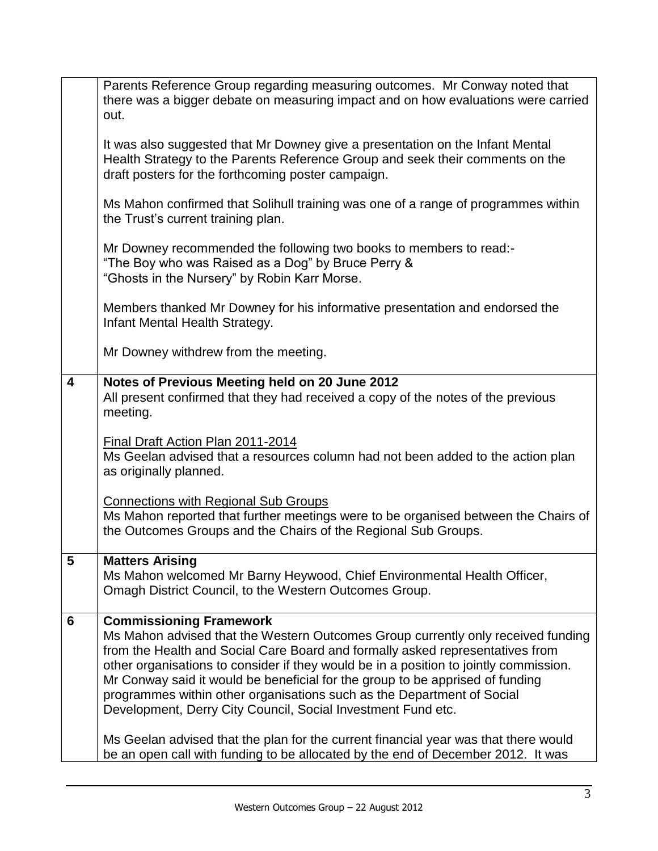|   | Parents Reference Group regarding measuring outcomes. Mr Conway noted that<br>there was a bigger debate on measuring impact and on how evaluations were carried<br>out.                                                                                                                                                                                                                                                                                                                                                                                                                                        |
|---|----------------------------------------------------------------------------------------------------------------------------------------------------------------------------------------------------------------------------------------------------------------------------------------------------------------------------------------------------------------------------------------------------------------------------------------------------------------------------------------------------------------------------------------------------------------------------------------------------------------|
|   | It was also suggested that Mr Downey give a presentation on the Infant Mental<br>Health Strategy to the Parents Reference Group and seek their comments on the<br>draft posters for the forthcoming poster campaign.                                                                                                                                                                                                                                                                                                                                                                                           |
|   | Ms Mahon confirmed that Solihull training was one of a range of programmes within<br>the Trust's current training plan.                                                                                                                                                                                                                                                                                                                                                                                                                                                                                        |
|   | Mr Downey recommended the following two books to members to read:-<br>"The Boy who was Raised as a Dog" by Bruce Perry &<br>"Ghosts in the Nursery" by Robin Karr Morse.                                                                                                                                                                                                                                                                                                                                                                                                                                       |
|   | Members thanked Mr Downey for his informative presentation and endorsed the<br>Infant Mental Health Strategy.                                                                                                                                                                                                                                                                                                                                                                                                                                                                                                  |
|   | Mr Downey withdrew from the meeting.                                                                                                                                                                                                                                                                                                                                                                                                                                                                                                                                                                           |
| 4 | Notes of Previous Meeting held on 20 June 2012<br>All present confirmed that they had received a copy of the notes of the previous<br>meeting.                                                                                                                                                                                                                                                                                                                                                                                                                                                                 |
|   | Final Draft Action Plan 2011-2014<br>Ms Geelan advised that a resources column had not been added to the action plan<br>as originally planned.                                                                                                                                                                                                                                                                                                                                                                                                                                                                 |
|   | <b>Connections with Regional Sub Groups</b><br>Ms Mahon reported that further meetings were to be organised between the Chairs of<br>the Outcomes Groups and the Chairs of the Regional Sub Groups.                                                                                                                                                                                                                                                                                                                                                                                                            |
| 5 | <b>Matters Arising</b><br>Ms Mahon welcomed Mr Barny Heywood, Chief Environmental Health Officer,<br>Omagh District Council, to the Western Outcomes Group.                                                                                                                                                                                                                                                                                                                                                                                                                                                    |
| 6 | <b>Commissioning Framework</b><br>Ms Mahon advised that the Western Outcomes Group currently only received funding<br>from the Health and Social Care Board and formally asked representatives from<br>other organisations to consider if they would be in a position to jointly commission.<br>Mr Conway said it would be beneficial for the group to be apprised of funding<br>programmes within other organisations such as the Department of Social<br>Development, Derry City Council, Social Investment Fund etc.<br>Ms Geelan advised that the plan for the current financial year was that there would |
|   | be an open call with funding to be allocated by the end of December 2012. It was                                                                                                                                                                                                                                                                                                                                                                                                                                                                                                                               |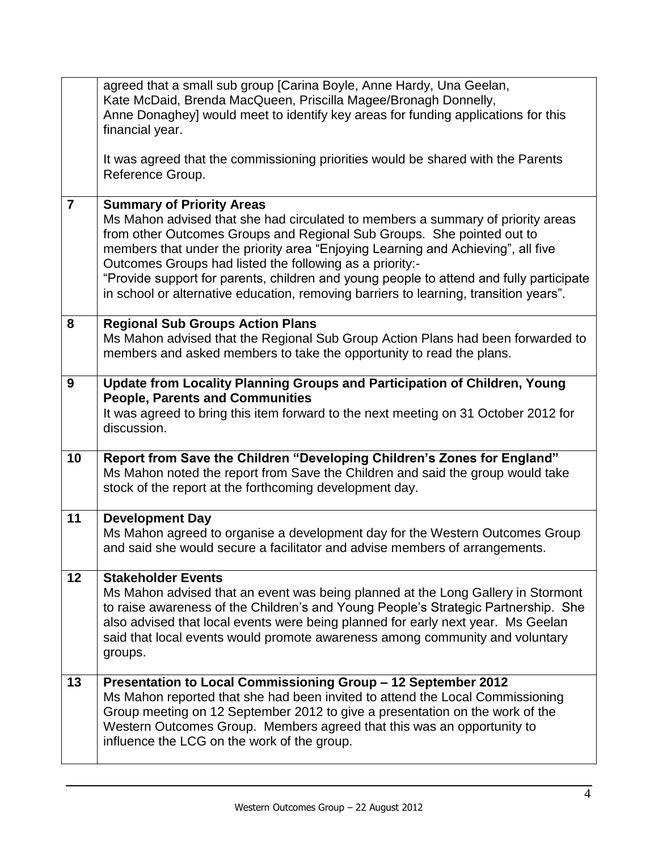|                | agreed that a small sub group [Carina Boyle, Anne Hardy, Una Geelan,<br>Kate McDaid, Brenda MacQueen, Priscilla Magee/Bronagh Donnelly,<br>Anne Donaghey] would meet to identify key areas for funding applications for this<br>financial year.                                                                                                                                                                                                                                                                                   |
|----------------|-----------------------------------------------------------------------------------------------------------------------------------------------------------------------------------------------------------------------------------------------------------------------------------------------------------------------------------------------------------------------------------------------------------------------------------------------------------------------------------------------------------------------------------|
|                | It was agreed that the commissioning priorities would be shared with the Parents<br>Reference Group.                                                                                                                                                                                                                                                                                                                                                                                                                              |
| $\overline{7}$ | <b>Summary of Priority Areas</b><br>Ms Mahon advised that she had circulated to members a summary of priority areas<br>from other Outcomes Groups and Regional Sub Groups. She pointed out to<br>members that under the priority area "Enjoying Learning and Achieving", all five<br>Outcomes Groups had listed the following as a priority:-<br>"Provide support for parents, children and young people to attend and fully participate<br>in school or alternative education, removing barriers to learning, transition years". |
| 8              | <b>Regional Sub Groups Action Plans</b><br>Ms Mahon advised that the Regional Sub Group Action Plans had been forwarded to<br>members and asked members to take the opportunity to read the plans.                                                                                                                                                                                                                                                                                                                                |
| 9              | Update from Locality Planning Groups and Participation of Children, Young<br><b>People, Parents and Communities</b><br>It was agreed to bring this item forward to the next meeting on 31 October 2012 for<br>discussion.                                                                                                                                                                                                                                                                                                         |
| 10             | Report from Save the Children "Developing Children's Zones for England"<br>Ms Mahon noted the report from Save the Children and said the group would take<br>stock of the report at the forthcoming development day.                                                                                                                                                                                                                                                                                                              |
| 11             | <b>Development Day</b><br>Ms Mahon agreed to organise a development day for the Western Outcomes Group<br>and said she would secure a facilitator and advise members of arrangements.                                                                                                                                                                                                                                                                                                                                             |
| 12             | <b>Stakeholder Events</b><br>Ms Mahon advised that an event was being planned at the Long Gallery in Stormont<br>to raise awareness of the Children's and Young People's Strategic Partnership. She<br>also advised that local events were being planned for early next year. Ms Geelan<br>said that local events would promote awareness among community and voluntary<br>groups.                                                                                                                                                |
| 13             | Presentation to Local Commissioning Group - 12 September 2012<br>Ms Mahon reported that she had been invited to attend the Local Commissioning<br>Group meeting on 12 September 2012 to give a presentation on the work of the<br>Western Outcomes Group. Members agreed that this was an opportunity to<br>influence the LCG on the work of the group.                                                                                                                                                                           |